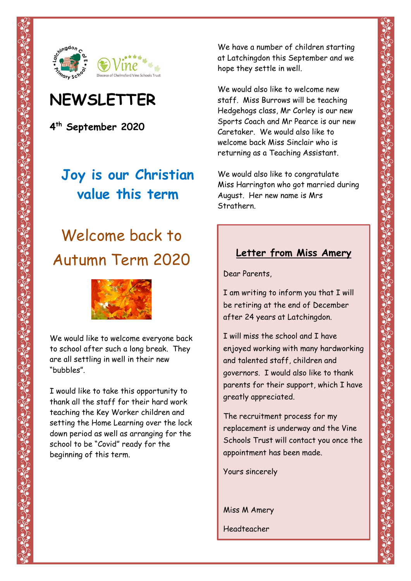

# **NEWSLETTER**

**4 th September 2020**

# **Joy is our Christian value this term**

# Welcome back to Autumn Term 2020



We would like to welcome everyone back to school after such a long break. They are all settling in well in their new "bubbles".

I would like to take this opportunity to thank all the staff for their hard work teaching the Key Worker children and setting the Home Learning over the lock down period as well as arranging for the school to be "Covid" ready for the beginning of this term.

We have a number of children starting at Latchingdon this September and we hope they settle in well.

We would also like to welcome new staff. Miss Burrows will be teaching Hedgehogs class, Mr Corley is our new Sports Coach and Mr Pearce is our new Caretaker. We would also like to welcome back Miss Sinclair who is returning as a Teaching Assistant.

We would also like to congratulate Miss Harrington who got married during August. Her new name is Mrs Strathern.

### **Letter from Miss Amery**

Dear Parents,

I am writing to inform you that I will be retiring at the end of December after 24 years at Latchingdon.

I will miss the school and I have enjoyed working with many hardworking and talented staff, children and governors. I would also like to thank parents for their support, which I have greatly appreciated.

The recruitment process for my replacement is underway and the Vine Schools Trust will contact you once the appointment has been made.

Yours sincerely

Miss M Amery Headteacher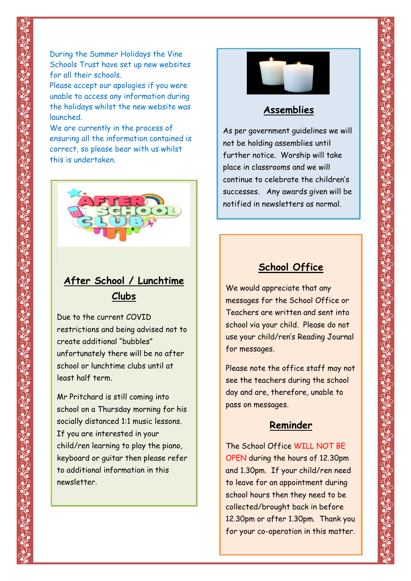During the Summer Holidays the Vine Schools Trust have set up new websites for all their schools.

Please accept our apologies if you were unable to access any information during the holidays whilst the new website was launched.

We are currently in the process of ensuring all the information contained is correct, so please bear with us whilst this is undertaken.



## **After School / Lunchtime Clubs**

Due to the current COVID restrictions and being advised not to create additional "bubbles" unfortunately there will be no after school or lunchtime clubs until at least half term.

Mr Pritchard is still coming into school on a Thursday morning for his socially distanced 1:1 music lessons. If you are interested in your child/ren learning to play the piano, keyboard or guitar then please refer to additional information in this newsletter.



#### **Assemblies**

As per government guidelines we will not be holding assemblies until further notice. Worship will take place in classrooms and we will continue to celebrate the children's successes. Any awards given will be notified in newsletters as normal.

#### **School Office**

We would appreciate that any messages for the School Office or Teachers are written and sent into school via your child. Please do not use your child/ren's Reading Journal for messages.

Please note the office staff may not see the teachers during the school day and are, therefore, unable to pass on messages.

#### **Reminder**

The School Office WILL NOT BE OPEN during the hours of 12.30pm and 1.30pm. If your child/ren need to leave for an appointment during school hours then they need to be collected/brought back in before 12.30pm or after 1.30pm. Thank you for your co-operation in this matter.